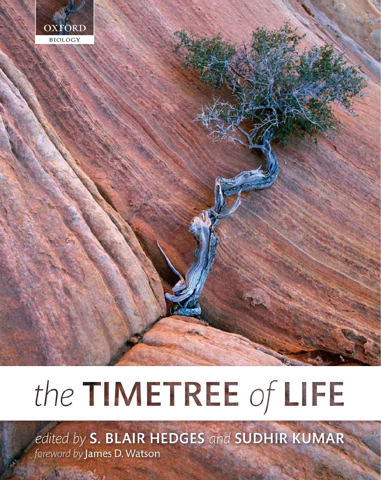

# the TIMETREE of LIFE

edited by S. BLAIR HEDGES and SUDHIR KUMAR foreword by James D. Watson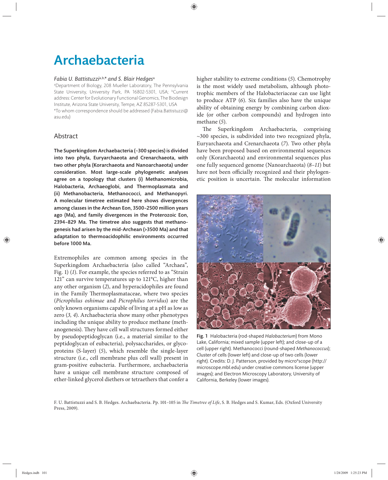# Archaebacteria

#### *Fabia U. Battistuzzi*a,b,*\* and S. Blair Hedges*<sup>a</sup>

a Department of Biology, 208 Mueller Laboratory, The Pennsylvania State University, University Park, PA 16802-5301, USA; <sup>b</sup>Current address: Center for Evolutionary Functional Genomics, The Biodesign Institute, Arizona State University, Tempe, AZ 85287-5301, USA \*To whom correspondence should be addressed (Fabia.Battistuzzi@ asu.edu)

# Abstract

The Superkingdom Archaebacteria (~300 species) is divided into two phyla, Euryarchaeota and Crenarchaeota, with two other phyla (Korarchaeota and Nanoarchaeota) under consideration. Most large-scale phylogenetic analyses agree on a topology that clusters (i) Methanomicrobia, Halobacteria, Archaeoglobi, and Thermoplasmata and (ii) Methanobacteria, Methanococci, and Methanopyri. A molecular timetree estimated here shows divergences among classes in the Archean Eon, 3500–2500 million years ago (Ma), and family divergences in the Proterozoic Eon, 2394–829 Ma. The timetree also suggests that methanogenesis had arisen by the mid-Archean (>3500 Ma) and that adaptation to thermoacidophilic environments occurred before 1000 Ma.

Extremophiles are common among species in the Superkingdom Archaebacteria (also called "Archaea", Fig. 1) (*1*). For example, the species referred to as "Strain 121" can survive temperatures up to 121°C, higher than any other organism (*2*), and hyperacidophiles are found in the Family Thermoplasmataceae, where two species (*Picrophilus oshimae* and *Picrophilus torridus*) are the only known organisms capable of living at a pH as low as zero (*3, 4*). Archaebacteria show many other phenotypes including the unique ability to produce methane (methanogenesis). They have cell wall structures formed either by pseudopeptidoglycan (i.e., a material similar to the peptidoglycan of eubacteria), polysaccharides, or glycoproteins (S-layer) (*5*), which resemble the single-layer structure (i.e., cell membrane plus cell wall) present in gram-positive eubacteria. Furthermore, archaebacteria have a unique cell membrane structure composed of ether-linked glycerol diethers or tetraethers that confer a

higher stability to extreme conditions (*5*). Chemotrophy is the most widely used metabolism, although phototrophic members of the Halobacteriaceae can use light to produce ATP (6). Six families also have the unique ability of obtaining energy by combining carbon dioxide (or other carbon compounds) and hydrogen into methane (*5*).

The Superkingdom Archaebacteria, comprising  $\sim$ 300 species, is subdivided into two recognized phyla, Euryarchaeota and Crenarchaeota (*7*). Two other phyla have been proposed based on environmental sequences only (Korarchaeota) and environmental sequences plus one fully sequenced genome (Nanoarchaeota) (*8–11*) but have not been officially recognized and their phylogenetic position is uncertain. The molecular information



Fig. 1 Halobacteria (rod-shaped *Halobacterium*) from Mono Lake, California; mixed sample (upper left); and close-up of a cell (upper right). Methanococci (round-shaped *Methanococcus*); Cluster of cells (lower left) and close-up of two cells (lower right). Credits: D. J. Patterson, provided by micro\*scope (http:// microscope.mbl.edu) under creative commons license (upper images); and Electron Microscopy Laboratory, University of California, Berkeley (lower images).

F. U. Battistuzzi and S. B. Hedges. Archaebacteria. Pp. 101-105 in *The Timetree of Life*, S. B. Hedges and S. Kumar, Eds. (Oxford University Press, 2009).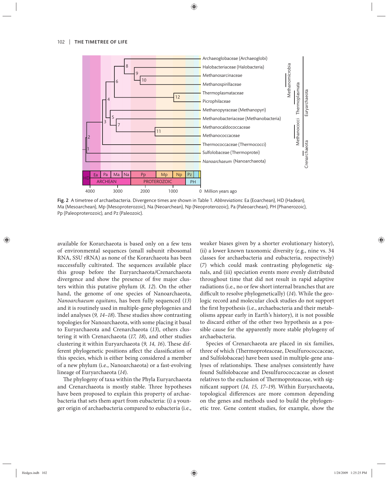

Fig. 2 A timetree of archaebacteria. Divergence times are shown in Table 1. *Abbreviations*: Ea (Eoarchean), HD (Hadean), Ma (Mesoarchean), Mp (Mesoproterozoic), Na (Neoarchean), Np (Neoproterozoic), Pa (Paleoarchean), PH (Phanerozoic), Pp (Paleoproterozoic), and Pz (Paleozoic).

available for Korarchaeota is based only on a few tens of environmental sequences (small subunit ribosomal RNA, SSU rRNA) as none of the Korarchaeota has been successfully cultivated. The sequences available place this group before the Euryarchaeota/Crenarchaeota divergence and show the presence of five major clusters within this putative phylum (8, 12). On the other hand, the genome of one species of Nanoarchaeota, *Nanoarchaeum equitans*, has been fully sequenced (*13*) and it is routinely used in multiple-gene phylogenies and indel analyses (9, 14–18). These studies show contrasting topologies for Nanoarchaeota, with some placing it basal to Euryarchaeota and Crenarchaeota (*13*), others clustering it with Crenarchaeota (*17, 18*), and other studies clustering it within Euryarchaeota (9, 14, 16). These different phylogenetic positions affect the classification of this species, which is either being considered a member of a new phylum (i.e., Nanoarchaeota) or a fast-evolving lineage of Euryarchaeota (*14*).

The phylogeny of taxa within the Phyla Euryarchaeota and Crenarchaeota is mostly stable. Three hypotheses have been proposed to explain this property of archaebacteria that sets them apart from eubacteria: (i) a younger origin of archaebacteria compared to eubacteria (i.e.,

weaker biases given by a shorter evolutionary history), (ii) a lower known taxonomic diversity (e.g., nine vs. 34 classes for archaebacteria and eubacteria, respectively) (*7*) which could mask contrasting phylogenetic signals, and (iii) speciation events more evenly distributed throughout time that did not result in rapid adaptive radiations (i.e., no or few short internal branches that are difficult to resolve phylogenetically) (14). While the geologic record and molecular clock studies do not support the first hypothesis (i.e., archaebacteria and their metabolisms appear early in Earth's history), it is not possible to discard either of the other two hypothesis as a possible cause for the apparently more stable phylogeny of archaebacteria.

Species of Crenarchaeota are placed in six families, three of which (Thermoproteaceae, Desulfurococcaceae, and Sulfolobaceae) have been used in multiple-gene analyses of relationships. These analyses consistently have found Sulfolobaceae and Desulfurococcaceae as closest relatives to the exclusion of Thermoproteaceae, with significant support (14, 15, 17-19). Within Euryarchaeota, topological differences are more common depending on the genes and methods used to build the phylogenetic tree. Gene content studies, for example, show the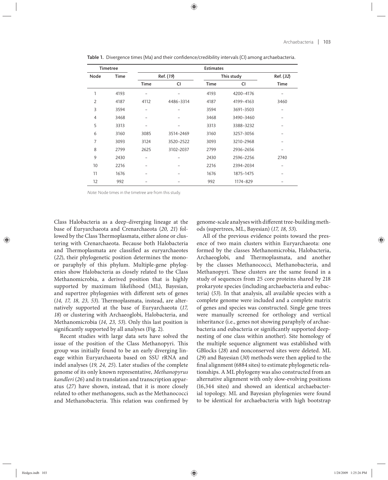| <b>Timetree</b> |             | <b>Estimates</b> |           |             |           |           |
|-----------------|-------------|------------------|-----------|-------------|-----------|-----------|
| Node            | <b>Time</b> | Ref. (19)        |           | This study  |           | Ref. (32) |
|                 |             | <b>Time</b>      | CI        | <b>Time</b> | CI        | Time      |
| 1               | 4193        |                  |           | 4193        | 4200-4176 |           |
| $\overline{2}$  | 4187        | 4112             | 4486-3314 | 4187        | 4199-4163 | 3460      |
| 3               | 3594        |                  |           | 3594        | 3691-3503 |           |
| 4               | 3468        |                  |           | 3468        | 3490-3460 |           |
| 5               | 3313        |                  |           | 3313        | 3388-3232 |           |
| 6               | 3160        | 3085             | 3514-2469 | 3160        | 3257-3056 |           |
| 7               | 3093        | 3124             | 3520-2522 | 3093        | 3210-2968 |           |
| 8               | 2799        | 2625             | 3102-2037 | 2799        | 2936-2656 |           |
| 9               | 2430        |                  |           | 2430        | 2596-2256 | 2740      |
| 10              | 2216        |                  |           | 2216        | 2394-2034 |           |
| 11              | 1676        |                  |           | 1676        | 1875-1475 |           |
| 12              | 992         |                  |           | 992         | 1174-829  |           |

Table 1. Divergence times (Ma) and their confidence/credibility intervals (CI) among archaebacteria.

Note: Node times in the timetree are from this study.

Class Halobacteria as a deep-diverging lineage at the base of Euryarchaeota and Crenarchaeota (*20, 21*) followed by the Class Thermoplasmata, either alone or clustering with Crenarchaeota. Because both Halobacteria and Thermoplasmata are classified as euryarchaeotes (*22*), their phylogenetic position determines the monoor paraphyly of this phylum. Multiple-gene phylogenies show Halobacteria as closely related to the Class Methanomicrobia, a derived position that is highly supported by maximum likelihood (ML), Bayesian, and supertree phylogenies with different sets of genes (14, 17, 18, 23, 53). Thermoplasmata, instead, are alternatively supported at the base of Euryarchaeota (17, 18) or clustering with Archaeoglobi, Halobacteria, and Methanomicrobia (*14, 23, 53*). Only this last position is significantly supported by all analyses (Fig. 2).

Recent studies with large data sets have solved the issue of the position of the Class Methanopyri. This group was initially found to be an early diverging lineage within Euryarchaeota based on SSU rRNA and indel analyses (*19, 24, 25*). Later studies of the complete genome of its only known representative, *Methanopyrus kandleri* (*26*) and its translation and transcription apparatus (*27*) have shown, instead, that it is more closely related to other methanogens, such as the Methanococci and Methanobacteria. This relation was confirmed by genome-scale analyses with different tree-building methods (supertrees, ML, Bayesian) (*17, 18, 53*).

All of the previous evidence points toward the presence of two main clusters within Euryarchaeota: one formed by the classes Methanomicrobia, Halobacteria, Archaeoglobi, and Thermoplasmata, and another by the classes Methanococci, Methanobacteria, and Methanopyri. These clusters are the same found in a study of sequences from 25 core proteins shared by 218 prokaryote species (including archaebacteria and eubacteria) (*53*). In that analysis, all available species with a complete genome were included and a complete matrix of genes and species was constructed. Single gene trees were manually screened for orthology and vertical inheritance (i.e., genes not showing paraphyly of archaebacteria and eubacteria or significantly supported deepnesting of one class within another). Site homology of the multiple sequence alignment was established with GBlocks (*28*) and nonconserved sites were deleted. ML (*29*) and Bayesian (*30*) methods were then applied to the final alignment (6884 sites) to estimate phylogenetic relationships. A ML phylogeny was also constructed from an alternative alignment with only slow-evolving positions (16,344 sites) and showed an identical archaebacterial topology. ML and Bayesian phylogenies were found to be identical for archaebacteria with high bootstrap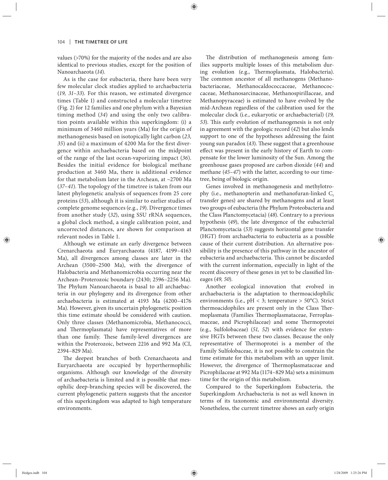values (>70%) for the majority of the nodes and are also identical to previous studies, except for the position of Nanoarchaeota (*14*).

As is the case for eubacteria, there have been very few molecular clock studies applied to archaebacteria (*19, 31–33*). For this reason, we estimated divergence times (Table 1) and constructed a molecular timetree (Fig. 2) for 12 families and one phylum with a Bayesian timing method (*34*) and using the only two calibration points available within this superkingdom: (i) a minimum of 3460 million years (Ma) for the origin of methanogenesis based on isotopically light carbon (*23, 35*) and (ii) a maximum of 4200 Ma for the first divergence within archaebacteria based on the midpoint of the range of the last ocean-vaporizing impact (*36*). Besides the initial evidence for biological methane production at 3460 Ma, there is additional evidence for that metabolism later in the Archean, at ~2700 Ma  $(37-41)$ . The topology of the timetree is taken from our latest phylogenetic analysis of sequences from 25 core proteins (*53*), although it is similar to earlier studies of complete genome sequences (e.g., *19*). Divergence times from another study (*32*), using SSU rRNA sequences, a global clock method, a single calibration point, and uncorrected distances, are shown for comparison at relevant nodes in Table 1.

Although we estimate an early divergence between Crenarchaeota and Euryarchaeota (4187, 4199–4163 Ma), all divergences among classes are later in the Archean (3500–2500 Ma), with the divergence of Halobacteria and Methanomicrobia occurring near the Archean–Proterozoic boundary (2430; 2596–2256 Ma). The Phylum Nanoarchaeota is basal to all archaebacteria in our phylogeny and its divergence from other archaebacteria is estimated at 4193 Ma (4200–4176 Ma). However, given its uncertain phylogenetic position this time estimate should be considered with caution. Only three classes (Methanomicrobia, Methanococci, and Thermoplasmata) have representatives of more than one family. These family-level divergences are within the Proterozoic, between 2216 and 992 Ma (CI, 2394–829 Ma).

The deepest branches of both Crenarchaeota and Euryarchaeota are occupied by hyperthermophilic organisms. Although our knowledge of the diversity of archaebacteria is limited and it is possible that mesophilic deep-branching species will be discovered, the current phylogenetic pattern suggests that the ancestor of this superkingdom was adapted to high temperature environments.

The distribution of methanogenesis among families supports multiple losses of this metabolism during evolution (e.g., Thermoplasmata, Halobacteria). The common ancestor of all methanogens (Methanobacteriaceae, Methanocaldococcaceae, Methanococcaceae, Methanosarcinaceae, Methanospirillaceae, and Methanopyraceae) is estimated to have evolved by the mid-Archean regardless of the calibration used for the molecular clock (i.e., eukaryotic or archaebacterial) (*19, 53*). This early evolution of methanogenesis is not only in agreement with the geologic record (*42*) but also lends support to one of the hypotheses addressing the faint young sun paradox (43). These suggest that a greenhouse effect was present in the early history of Earth to compensate for the lower luminosity of the Sun. Among the greenhouse gases proposed are carbon dioxide (*44*) and methane (*45–47*) with the latter, according to our timetree, being of biologic origin.

Genes involved in methanogenesis and methylotrophy (i.e., methanopterin and methanofuran-linked  $C_1$ transfer genes) are shared by methanogens and at least two groups of eubacteria (the Phylum Proteobacteria and the Class Planctomycetacia) (*48*). Contrary to a previous hypothesis (*49*), the late divergence of the eubacterial Planctomycetacia (*53*) suggests horizontal gene transfer (HGT) from archaebacteria to eubacteria as a possible cause of their current distribution. An alternative possibility is the presence of this pathway in the ancestor of eubacteria and archaebacteria. This cannot be discarded with the current information, especially in light of the recent discovery of these genes in yet to be classified lineages (*49, 50*).

Another ecological innovation that evolved in archaebacteria is the adaptation to thermoacidophilic environments (i.e.,  $pH < 3$ ; temperature > 50°C). Strict thermoacidophiles are present only in the Class Thermoplasmata (Families Thermoplasmataceae, Ferroplasmaceae, and Picrophilaceae) and some Thermoprotei (e.g., Sulfolobaceae) (51, 52) with evidence for extensive HGTs between these two classes. Because the only representative of Thermoprotei is a member of the Family Sulfolobaceae, it is not possible to constrain the time estimate for this metabolism with an upper limit. However, the divergence of Thermoplasmataceae and Picrophilaceae at 992 Ma (1174–829 Ma) sets a minimum time for the origin of this metabolism.

Compared to the Superkingdom Eubacteria, the Superkingdom Archaebacteria is not as well known in terms of its taxonomic and environmental diversity. Nonetheless, the current timetree shows an early origin